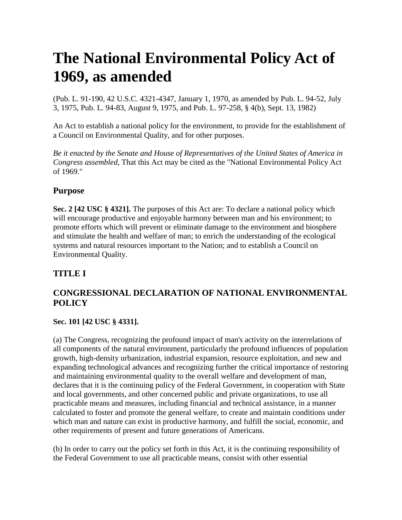# **The National Environmental Policy Act of 1969, as amended**

(Pub. L. 91-190, 42 U.S.C. 4321-4347, January 1, 1970, as amended by Pub. L. 94-52, July 3, 1975, Pub. L. 94-83, August 9, 1975, and Pub. L. 97-258, § 4(b), Sept. 13, 1982)

An Act to establish a national policy for the environment, to provide for the establishment of a Council on Environmental Quality, and for other purposes.

*Be it enacted by the Senate and House of Representatives of the United States of America in Congress assembled,* That this Act may be cited as the "National Environmental Policy Act of 1969."

## **Purpose**

**Sec. 2 [42 USC § 4321].** The purposes of this Act are: To declare a national policy which will encourage productive and enjoyable harmony between man and his environment; to promote efforts which will prevent or eliminate damage to the environment and biosphere and stimulate the health and welfare of man; to enrich the understanding of the ecological systems and natural resources important to the Nation; and to establish a Council on Environmental Quality.

## **TITLE I**

## **CONGRESSIONAL DECLARATION OF NATIONAL ENVIRONMENTAL POLICY**

### **Sec. 101 [42 USC § 4331].**

(a) The Congress, recognizing the profound impact of man's activity on the interrelations of all components of the natural environment, particularly the profound influences of population growth, high-density urbanization, industrial expansion, resource exploitation, and new and expanding technological advances and recognizing further the critical importance of restoring and maintaining environmental quality to the overall welfare and development of man, declares that it is the continuing policy of the Federal Government, in cooperation with State and local governments, and other concerned public and private organizations, to use all practicable means and measures, including financial and technical assistance, in a manner calculated to foster and promote the general welfare, to create and maintain conditions under which man and nature can exist in productive harmony, and fulfill the social, economic, and other requirements of present and future generations of Americans.

(b) In order to carry out the policy set forth in this Act, it is the continuing responsibility of the Federal Government to use all practicable means, consist with other essential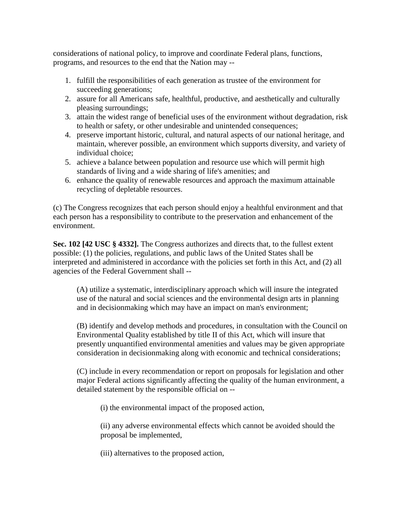considerations of national policy, to improve and coordinate Federal plans, functions, programs, and resources to the end that the Nation may --

- 1. fulfill the responsibilities of each generation as trustee of the environment for succeeding generations;
- 2. assure for all Americans safe, healthful, productive, and aesthetically and culturally pleasing surroundings;
- 3. attain the widest range of beneficial uses of the environment without degradation, risk to health or safety, or other undesirable and unintended consequences;
- 4. preserve important historic, cultural, and natural aspects of our national heritage, and maintain, wherever possible, an environment which supports diversity, and variety of individual choice;
- 5. achieve a balance between population and resource use which will permit high standards of living and a wide sharing of life's amenities; and
- 6. enhance the quality of renewable resources and approach the maximum attainable recycling of depletable resources.

(c) The Congress recognizes that each person should enjoy a healthful environment and that each person has a responsibility to contribute to the preservation and enhancement of the environment.

**Sec. 102 [42 USC § 4332].** The Congress authorizes and directs that, to the fullest extent possible: (1) the policies, regulations, and public laws of the United States shall be interpreted and administered in accordance with the policies set forth in this Act, and (2) all agencies of the Federal Government shall --

(A) utilize a systematic, interdisciplinary approach which will insure the integrated use of the natural and social sciences and the environmental design arts in planning and in decisionmaking which may have an impact on man's environment;

(B) identify and develop methods and procedures, in consultation with the Council on Environmental Quality established by title II of this Act, which will insure that presently unquantified environmental amenities and values may be given appropriate consideration in decisionmaking along with economic and technical considerations;

(C) include in every recommendation or report on proposals for legislation and other major Federal actions significantly affecting the quality of the human environment, a detailed statement by the responsible official on --

(i) the environmental impact of the proposed action,

(ii) any adverse environmental effects which cannot be avoided should the proposal be implemented,

(iii) alternatives to the proposed action,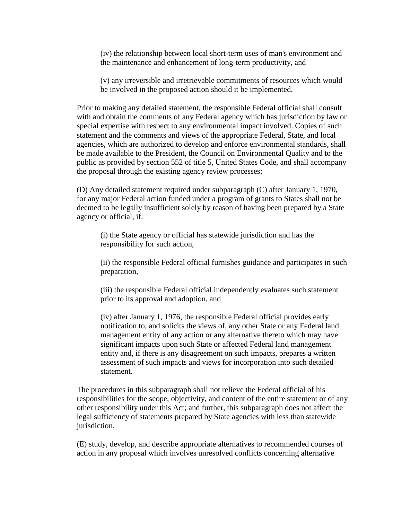(iv) the relationship between local short-term uses of man's environment and the maintenance and enhancement of long-term productivity, and

(v) any irreversible and irretrievable commitments of resources which would be involved in the proposed action should it be implemented.

Prior to making any detailed statement, the responsible Federal official shall consult with and obtain the comments of any Federal agency which has jurisdiction by law or special expertise with respect to any environmental impact involved. Copies of such statement and the comments and views of the appropriate Federal, State, and local agencies, which are authorized to develop and enforce environmental standards, shall be made available to the President, the Council on Environmental Quality and to the public as provided by section 552 of title 5, United States Code, and shall accompany the proposal through the existing agency review processes;

(D) Any detailed statement required under subparagraph (C) after January 1, 1970, for any major Federal action funded under a program of grants to States shall not be deemed to be legally insufficient solely by reason of having been prepared by a State agency or official, if:

(i) the State agency or official has statewide jurisdiction and has the responsibility for such action,

(ii) the responsible Federal official furnishes guidance and participates in such preparation,

(iii) the responsible Federal official independently evaluates such statement prior to its approval and adoption, and

(iv) after January 1, 1976, the responsible Federal official provides early notification to, and solicits the views of, any other State or any Federal land management entity of any action or any alternative thereto which may have significant impacts upon such State or affected Federal land management entity and, if there is any disagreement on such impacts, prepares a written assessment of such impacts and views for incorporation into such detailed statement.

The procedures in this subparagraph shall not relieve the Federal official of his responsibilities for the scope, objectivity, and content of the entire statement or of any other responsibility under this Act; and further, this subparagraph does not affect the legal sufficiency of statements prepared by State agencies with less than statewide jurisdiction.

(E) study, develop, and describe appropriate alternatives to recommended courses of action in any proposal which involves unresolved conflicts concerning alternative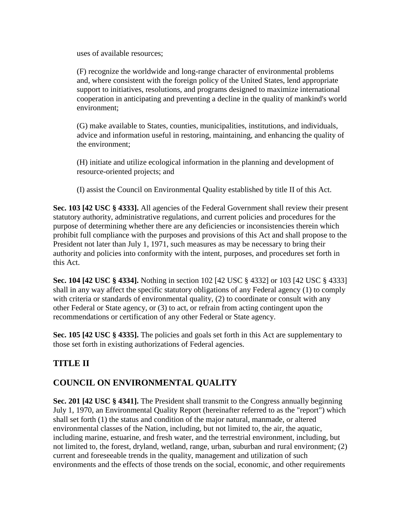uses of available resources;

(F) recognize the worldwide and long-range character of environmental problems and, where consistent with the foreign policy of the United States, lend appropriate support to initiatives, resolutions, and programs designed to maximize international cooperation in anticipating and preventing a decline in the quality of mankind's world environment;

(G) make available to States, counties, municipalities, institutions, and individuals, advice and information useful in restoring, maintaining, and enhancing the quality of the environment;

(H) initiate and utilize ecological information in the planning and development of resource-oriented projects; and

(I) assist the Council on Environmental Quality established by title II of this Act.

**Sec. 103 [42 USC § 4333].** All agencies of the Federal Government shall review their present statutory authority, administrative regulations, and current policies and procedures for the purpose of determining whether there are any deficiencies or inconsistencies therein which prohibit full compliance with the purposes and provisions of this Act and shall propose to the President not later than July 1, 1971, such measures as may be necessary to bring their authority and policies into conformity with the intent, purposes, and procedures set forth in this Act.

**Sec. 104 [42 USC § 4334].** Nothing in section 102 [42 USC § 4332] or 103 [42 USC § 4333] shall in any way affect the specific statutory obligations of any Federal agency (1) to comply with criteria or standards of environmental quality, (2) to coordinate or consult with any other Federal or State agency, or (3) to act, or refrain from acting contingent upon the recommendations or certification of any other Federal or State agency.

**Sec. 105 [42 USC § 4335].** The policies and goals set forth in this Act are supplementary to those set forth in existing authorizations of Federal agencies.

## **TITLE II**

## **COUNCIL ON ENVIRONMENTAL QUALITY**

**Sec. 201 [42 USC § 4341].** The President shall transmit to the Congress annually beginning July 1, 1970, an Environmental Quality Report (hereinafter referred to as the "report") which shall set forth (1) the status and condition of the major natural, manmade, or altered environmental classes of the Nation, including, but not limited to, the air, the aquatic, including marine, estuarine, and fresh water, and the terrestrial environment, including, but not limited to, the forest, dryland, wetland, range, urban, suburban and rural environment; (2) current and foreseeable trends in the quality, management and utilization of such environments and the effects of those trends on the social, economic, and other requirements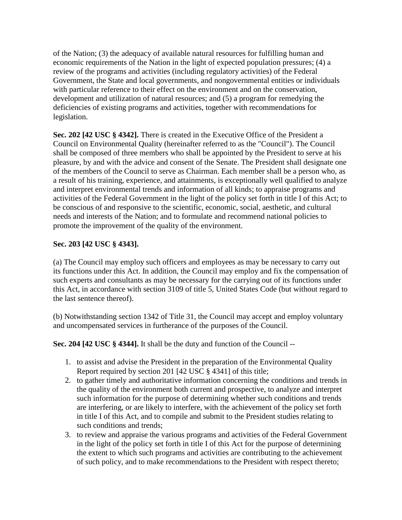of the Nation; (3) the adequacy of available natural resources for fulfilling human and economic requirements of the Nation in the light of expected population pressures; (4) a review of the programs and activities (including regulatory activities) of the Federal Government, the State and local governments, and nongovernmental entities or individuals with particular reference to their effect on the environment and on the conservation, development and utilization of natural resources; and (5) a program for remedying the deficiencies of existing programs and activities, together with recommendations for legislation.

**Sec. 202 [42 USC § 4342].** There is created in the Executive Office of the President a Council on Environmental Quality (hereinafter referred to as the "Council"). The Council shall be composed of three members who shall be appointed by the President to serve at his pleasure, by and with the advice and consent of the Senate. The President shall designate one of the members of the Council to serve as Chairman. Each member shall be a person who, as a result of his training, experience, and attainments, is exceptionally well qualified to analyze and interpret environmental trends and information of all kinds; to appraise programs and activities of the Federal Government in the light of the policy set forth in title I of this Act; to be conscious of and responsive to the scientific, economic, social, aesthetic, and cultural needs and interests of the Nation; and to formulate and recommend national policies to promote the improvement of the quality of the environment.

#### **Sec. 203 [42 USC § 4343].**

(a) The Council may employ such officers and employees as may be necessary to carry out its functions under this Act. In addition, the Council may employ and fix the compensation of such experts and consultants as may be necessary for the carrying out of its functions under this Act, in accordance with section 3109 of title 5, United States Code (but without regard to the last sentence thereof).

(b) Notwithstanding section 1342 of Title 31, the Council may accept and employ voluntary and uncompensated services in furtherance of the purposes of the Council.

**Sec. 204 [42 USC § 4344].** It shall be the duty and function of the Council --

- 1. to assist and advise the President in the preparation of the Environmental Quality Report required by section 201 [42 USC § 4341] of this title;
- 2. to gather timely and authoritative information concerning the conditions and trends in the quality of the environment both current and prospective, to analyze and interpret such information for the purpose of determining whether such conditions and trends are interfering, or are likely to interfere, with the achievement of the policy set forth in title I of this Act, and to compile and submit to the President studies relating to such conditions and trends;
- 3. to review and appraise the various programs and activities of the Federal Government in the light of the policy set forth in title I of this Act for the purpose of determining the extent to which such programs and activities are contributing to the achievement of such policy, and to make recommendations to the President with respect thereto;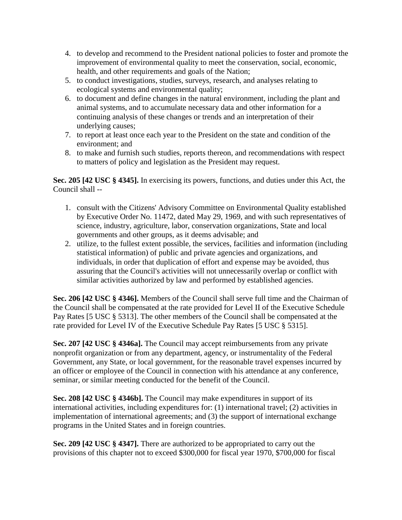- 4. to develop and recommend to the President national policies to foster and promote the improvement of environmental quality to meet the conservation, social, economic, health, and other requirements and goals of the Nation;
- 5. to conduct investigations, studies, surveys, research, and analyses relating to ecological systems and environmental quality;
- 6. to document and define changes in the natural environment, including the plant and animal systems, and to accumulate necessary data and other information for a continuing analysis of these changes or trends and an interpretation of their underlying causes;
- 7. to report at least once each year to the President on the state and condition of the environment; and
- 8. to make and furnish such studies, reports thereon, and recommendations with respect to matters of policy and legislation as the President may request.

**Sec. 205 [42 USC § 4345].** In exercising its powers, functions, and duties under this Act, the Council shall --

- 1. consult with the Citizens' Advisory Committee on Environmental Quality established by Executive Order No. 11472, dated May 29, 1969, and with such representatives of science, industry, agriculture, labor, conservation organizations, State and local governments and other groups, as it deems advisable; and
- 2. utilize, to the fullest extent possible, the services, facilities and information (including statistical information) of public and private agencies and organizations, and individuals, in order that duplication of effort and expense may be avoided, thus assuring that the Council's activities will not unnecessarily overlap or conflict with similar activities authorized by law and performed by established agencies.

**Sec. 206 [42 USC § 4346].** Members of the Council shall serve full time and the Chairman of the Council shall be compensated at the rate provided for Level II of the Executive Schedule Pay Rates [5 USC § 5313]. The other members of the Council shall be compensated at the rate provided for Level IV of the Executive Schedule Pay Rates [5 USC § 5315].

**Sec. 207 [42 USC § 4346a].** The Council may accept reimbursements from any private nonprofit organization or from any department, agency, or instrumentality of the Federal Government, any State, or local government, for the reasonable travel expenses incurred by an officer or employee of the Council in connection with his attendance at any conference, seminar, or similar meeting conducted for the benefit of the Council.

**Sec. 208 [42 USC § 4346b].** The Council may make expenditures in support of its international activities, including expenditures for: (1) international travel; (2) activities in implementation of international agreements; and (3) the support of international exchange programs in the United States and in foreign countries.

**Sec. 209 [42 USC § 4347].** There are authorized to be appropriated to carry out the provisions of this chapter not to exceed \$300,000 for fiscal year 1970, \$700,000 for fiscal